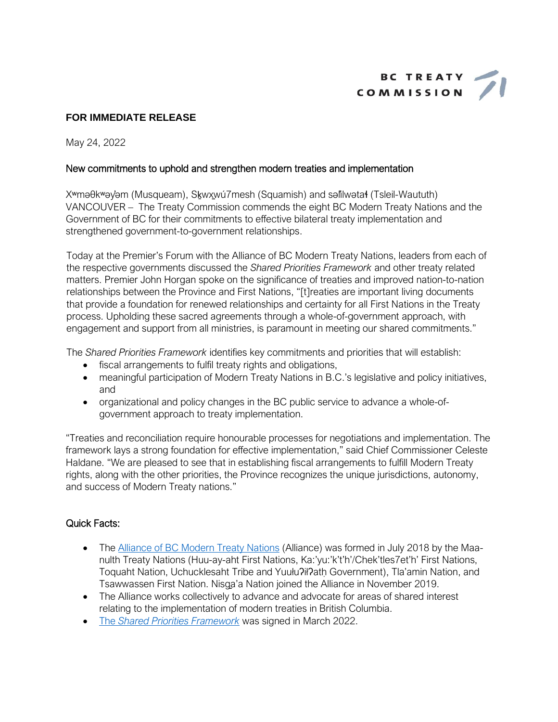

# **FOR IMMEDIATE RELEASE**

May 24, 2022

## New commitments to uphold and strengthen modern treaties and implementation

X<sup>w</sup>maθk<sup>w</sup>ayam (Musqueam), Skwxwu7mesh (Squamish) and salilwatał (Tsleil-Waututh) VANCOUVER - The Treaty Commission commends the eight BC Modern Treaty Nations and the Government of BC for their commitments to effective bilateral treaty implementation and strengthened government-to-government relationships.

Today at the Premier's Forum with the Alliance of BC Modern Treaty Nations, leaders from each of the respective governments discussed the Shared Priorities Framework and other treaty related matters. Premier John Horgan spoke on the significance of treaties and improved nation-to-nation relationships between the Province and First Nations, "[t] reaties are important living documents that provide a foundation for renewed relationships and certainty for all First Nations in the Treaty process. Upholding these sacred agreements through a whole-of-government approach, with engagement and support from all ministries, is paramount in meeting our shared commitments."

The Shared Priorities Framework identifies key commitments and priorities that will establish:

- fiscal arrangements to fulfil treaty rights and obligations,
- meaningful participation of Modern Treaty Nations in B.C.'s legislative and policy initiatives. and
- organizational and policy changes in the BC public service to advance a whole-ofgovernment approach to treaty implementation.

"Treaties and reconciliation require honourable processes for negotiations and implementation. The framework lays a strong foundation for effective implementation," said Chief Commissioner Celeste Haldane. "We are pleased to see that in establishing fiscal arrangements to fulfill Modern Treaty rights, along with the other priorities, the Province recognizes the unique jurisdictions, autonomy, and success of Modern Treaty nations."

# **Quick Facts:**

- The Alliance of BC Modern Treaty Nations (Alliance) was formed in July 2018 by the Maanulth Treaty Nations (Huu-ay-aht First Nations, Ka:'yu:'k't'h'/Chek'tles7et'h' First Nations, Toquaht Nation, Uchucklesaht Tribe and Yuułu?ił?ath Government), Tla'amin Nation, and Tsawwassen First Nation. Nisga'a Nation joined the Alliance in November 2019.
- The Alliance works collectively to advance and advocate for areas of shared interest relating to the implementation of modern treaties in British Columbia.
- The Shared Priorities Framework was signed in March 2022.